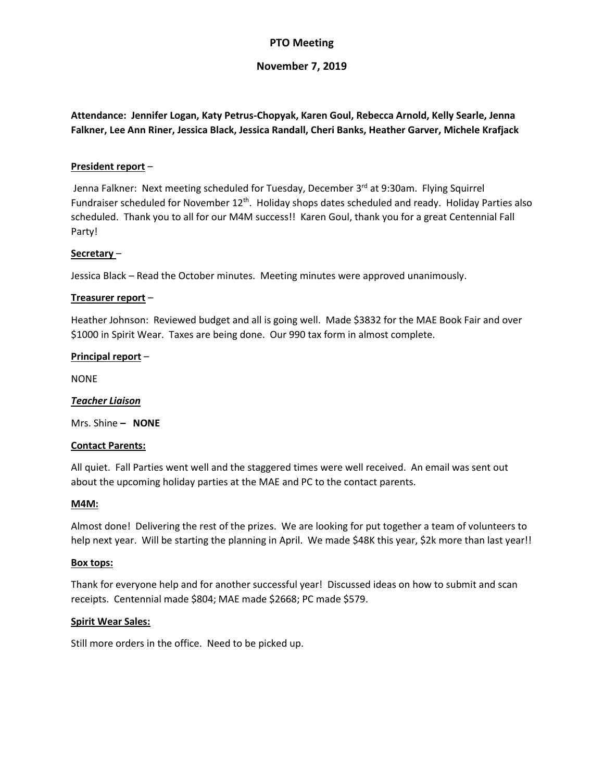# **PTO Meeting**

# **November 7, 2019**

**Attendance: Jennifer Logan, Katy Petrus-Chopyak, Karen Goul, Rebecca Arnold, Kelly Searle, Jenna Falkner, Lee Ann Riner, Jessica Black, Jessica Randall, Cheri Banks, Heather Garver, Michele Krafjack**

### **President report** –

Jenna Falkner: Next meeting scheduled for Tuesday, December 3rd at 9:30am. Flying Squirrel Fundraiser scheduled for November 12<sup>th</sup>. Holiday shops dates scheduled and ready. Holiday Parties also scheduled. Thank you to all for our M4M success!! Karen Goul, thank you for a great Centennial Fall Party!

#### **Secretary** –

Jessica Black – Read the October minutes. Meeting minutes were approved unanimously.

#### **Treasurer report** –

Heather Johnson: Reviewed budget and all is going well. Made \$3832 for the MAE Book Fair and over \$1000 in Spirit Wear. Taxes are being done. Our 990 tax form in almost complete.

#### **Principal report** –

NONE

### *Teacher Liaison*

Mrs. Shine **– NONE**

#### **Contact Parents:**

All quiet. Fall Parties went well and the staggered times were well received. An email was sent out about the upcoming holiday parties at the MAE and PC to the contact parents.

#### **M4M:**

Almost done! Delivering the rest of the prizes. We are looking for put together a team of volunteers to help next year. Will be starting the planning in April. We made \$48K this year, \$2k more than last year!!

#### **Box tops:**

Thank for everyone help and for another successful year! Discussed ideas on how to submit and scan receipts. Centennial made \$804; MAE made \$2668; PC made \$579.

#### **Spirit Wear Sales:**

Still more orders in the office. Need to be picked up.